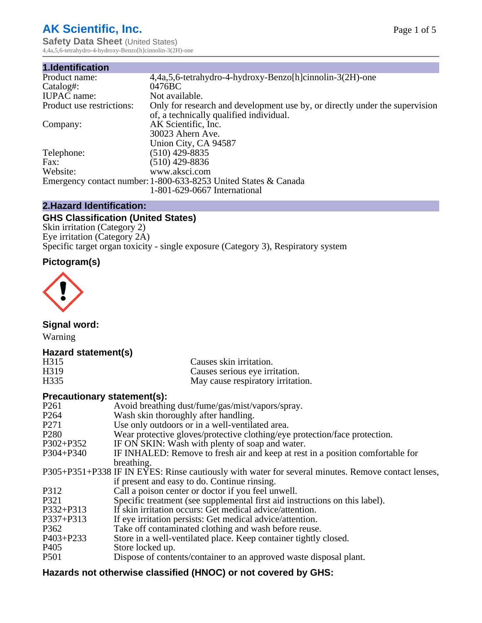# **AK Scientific, Inc.**

**Safety Data Sheet (United States)** 4,4a,5,6-tetrahydro-4-hydroxy-Benzo[h]cinnolin-3(2H)-one

| 1.Identification          |                                                                                                                        |
|---------------------------|------------------------------------------------------------------------------------------------------------------------|
| Product name:             | 4,4a,5,6-tetrahydro-4-hydroxy-Benzo[h]cinnolin-3(2H)-one                                                               |
| Catalog#:                 | 0476BC                                                                                                                 |
| <b>IUPAC</b> name:        | Not available.                                                                                                         |
| Product use restrictions: | Only for research and development use by, or directly under the supervision<br>of, a technically qualified individual. |
| Company:                  | AK Scientific, Inc.                                                                                                    |
|                           | 30023 Ahern Ave.                                                                                                       |
|                           | Union City, CA 94587                                                                                                   |
| Telephone:                | (510) 429-8835                                                                                                         |
| Fax:                      | (510) 429-8836                                                                                                         |
| Website:                  | www.aksci.com                                                                                                          |
|                           | Emergency contact number: 1-800-633-8253 United States & Canada                                                        |
|                           | 1-801-629-0667 International                                                                                           |
|                           |                                                                                                                        |

## **2.Hazard Identification:**

# **GHS Classification (United States)**

Skin irritation (Category 2) Eye irritation (Category 2A) Specific target organ toxicity - single exposure (Category 3), Respiratory system

## **Pictogram(s)**



**Signal word:**

Warning

## **Hazard statement(s)**

| H <sub>315</sub>  | Causes skin irritation.           |
|-------------------|-----------------------------------|
| H <sub>3</sub> 19 | Causes serious eye irritation.    |
| H335              | May cause respiratory irritation. |

#### **Precautionary statement(s):**

| P <sub>261</sub> | Avoid breathing dust/fume/gas/mist/vapors/spray.                                                   |
|------------------|----------------------------------------------------------------------------------------------------|
| P <sub>264</sub> | Wash skin thoroughly after handling.                                                               |
| P <sub>271</sub> | Use only outdoors or in a well-ventilated area.                                                    |
| P <sub>280</sub> | Wear protective gloves/protective clothing/eye protection/face protection.                         |
| P302+P352        | IF ON SKIN: Wash with plenty of soap and water.                                                    |
| $P304 + P340$    | IF INHALED: Remove to fresh air and keep at rest in a position comfortable for                     |
|                  | breathing.                                                                                         |
|                  | P305+P351+P338 IF IN EYES: Rinse cautiously with water for several minutes. Remove contact lenses, |
|                  | if present and easy to do. Continue rinsing.                                                       |
| P312             | Call a poison center or doctor if you feel unwell.                                                 |
| P321             | Specific treatment (see supplemental first aid instructions on this label).                        |
| P332+P313        | If skin irritation occurs: Get medical advice/attention.                                           |
| P337+P313        | If eye irritation persists: Get medical advice/attention.                                          |
| P362             | Take off contaminated clothing and wash before reuse.                                              |
| P403+P233        | Store in a well-ventilated place. Keep container tightly closed.                                   |
| P <sub>405</sub> | Store locked up.                                                                                   |
| P <sub>501</sub> | Dispose of contents/container to an approved waste disposal plant.                                 |
|                  |                                                                                                    |

# **Hazards not otherwise classified (HNOC) or not covered by GHS:**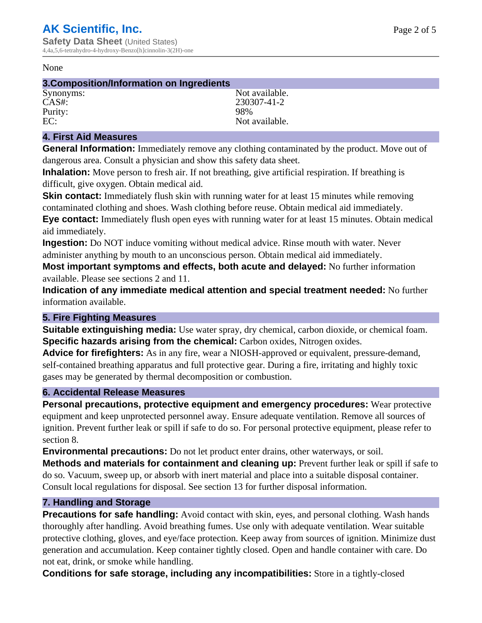#### None

# **3.Composition/Information on Ingredients**

Purity: 98%<br>EC: Not

Synonyms: Not available. CAS#: 230307-41-2 Not available.

### **4. First Aid Measures**

**General Information:** Immediately remove any clothing contaminated by the product. Move out of dangerous area. Consult a physician and show this safety data sheet.

**Inhalation:** Move person to fresh air. If not breathing, give artificial respiration. If breathing is difficult, give oxygen. Obtain medical aid.

**Skin contact:** Immediately flush skin with running water for at least 15 minutes while removing contaminated clothing and shoes. Wash clothing before reuse. Obtain medical aid immediately. **Eye contact:** Immediately flush open eyes with running water for at least 15 minutes. Obtain medical aid immediately.

**Ingestion:** Do NOT induce vomiting without medical advice. Rinse mouth with water. Never administer anything by mouth to an unconscious person. Obtain medical aid immediately.

**Most important symptoms and effects, both acute and delayed:** No further information available. Please see sections 2 and 11.

**Indication of any immediate medical attention and special treatment needed:** No further information available.

#### **5. Fire Fighting Measures**

**Suitable extinguishing media:** Use water spray, dry chemical, carbon dioxide, or chemical foam. **Specific hazards arising from the chemical:** Carbon oxides, Nitrogen oxides.

**Advice for firefighters:** As in any fire, wear a NIOSH-approved or equivalent, pressure-demand, self-contained breathing apparatus and full protective gear. During a fire, irritating and highly toxic gases may be generated by thermal decomposition or combustion.

#### **6. Accidental Release Measures**

**Personal precautions, protective equipment and emergency procedures:** Wear protective equipment and keep unprotected personnel away. Ensure adequate ventilation. Remove all sources of ignition. Prevent further leak or spill if safe to do so. For personal protective equipment, please refer to section 8.

**Environmental precautions:** Do not let product enter drains, other waterways, or soil.

**Methods and materials for containment and cleaning up:** Prevent further leak or spill if safe to do so. Vacuum, sweep up, or absorb with inert material and place into a suitable disposal container. Consult local regulations for disposal. See section 13 for further disposal information.

#### **7. Handling and Storage**

**Precautions for safe handling:** Avoid contact with skin, eyes, and personal clothing. Wash hands thoroughly after handling. Avoid breathing fumes. Use only with adequate ventilation. Wear suitable protective clothing, gloves, and eye/face protection. Keep away from sources of ignition. Minimize dust generation and accumulation. Keep container tightly closed. Open and handle container with care. Do not eat, drink, or smoke while handling.

**Conditions for safe storage, including any incompatibilities:** Store in a tightly-closed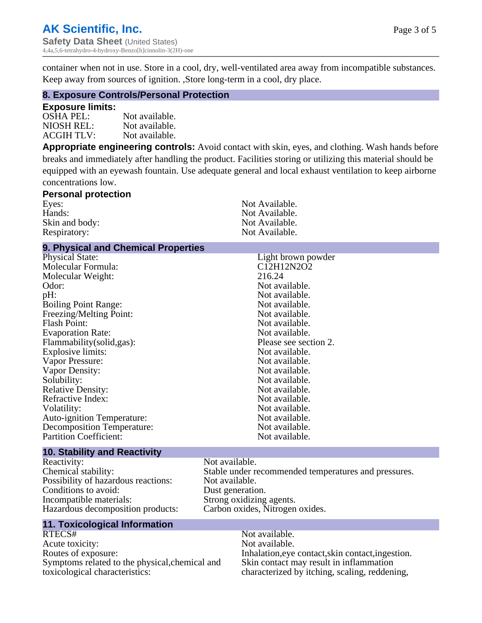container when not in use. Store in a cool, dry, well-ventilated area away from incompatible substances. Keep away from sources of ignition. ,Store long-term in a cool, dry place.

#### **8. Exposure Controls/Personal Protection**

#### **Exposure limits:**

| OSHA PEL:  | Not available. |
|------------|----------------|
| NIOSH REL: | Not available. |
| ACGIH TLV: | Not available. |

**Appropriate engineering controls:** Avoid contact with skin, eyes, and clothing. Wash hands before breaks and immediately after handling the product. Facilities storing or utilizing this material should be equipped with an eyewash fountain. Use adequate general and local exhaust ventilation to keep airborne concentrations low.

#### **Personal protection** Eyes: Not Available.<br>
Hands: Not Available.<br>
Not Available. Not Available.<br>Not Available. Skin and body: Respiratory: Not Available.

#### **9. Physical and Chemical Properties**

| <b>Physical State:</b>            | Light brown powder    |
|-----------------------------------|-----------------------|
| Molecular Formula:                | C12H12N2O2            |
| Molecular Weight:                 | 216.24                |
| Odor:                             | Not available.        |
| pH:                               | Not available.        |
| <b>Boiling Point Range:</b>       | Not available.        |
| Freezing/Melting Point:           | Not available.        |
| <b>Flash Point:</b>               | Not available.        |
| <b>Evaporation Rate:</b>          | Not available.        |
| Flammability(solid,gas):          | Please see section 2. |
| Explosive limits:                 | Not available.        |
| Vapor Pressure:                   | Not available.        |
| Vapor Density:                    | Not available.        |
| Solubility:                       | Not available.        |
| <b>Relative Density:</b>          | Not available.        |
| Refractive Index:                 | Not available.        |
| Volatility:                       | Not available.        |
| Auto-ignition Temperature:        | Not available.        |
| <b>Decomposition Temperature:</b> | Not available.        |
| <b>Partition Coefficient:</b>     | Not available.        |
|                                   |                       |

#### **10. Stability and Reactivity**

Reactivity: Not available.<br>
Chemical stability: Stable under re Possibility of hazardous reactions: Conditions to avoid:<br>
Incompatible materials:<br>
Strong oxidizing Hazardous decomposition products:

## **11. Toxicological Information**

RTECS# Not available. Acute toxicity: Not available.<br>
Routes of exposure: This is a multiple in the link of exposure in the link of the link of exposure. Symptoms related to the physical,chemical and toxicological characteristics:

Stable under recommended temperatures and pressures.<br>Not available. Strong oxidizing agents.<br>Carbon oxides, Nitrogen oxides.

> Inhalation,eye contact,skin contact,ingestion. Skin contact may result in inflammation characterized by itching, scaling, reddening,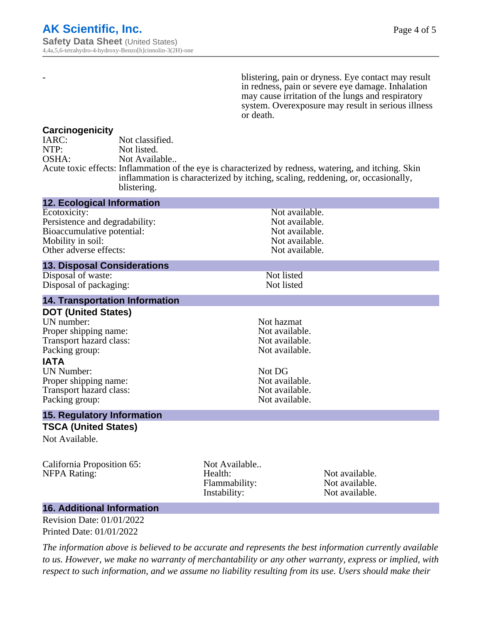- blistering, pain or dryness. Eye contact may result in redness, pain or severe eye damage. Inhalation may cause irritation of the lungs and respiratory system. Overexposure may result in serious illness or death.

#### **Carcinogenicity**

| IARC: | Not classified.                                                                                       |
|-------|-------------------------------------------------------------------------------------------------------|
| NTP:  | Not listed.                                                                                           |
| OSHA: | Not Available                                                                                         |
|       | Acute toxic effects: Inflammation of the eye is characterized by redness, watering, and itching. Skin |
|       | inflammation is characterized by itching, scaling, reddening, or, occasionally,                       |
|       | blistering.                                                                                           |

| <b>12. Ecological Information</b>              |               |                                  |  |
|------------------------------------------------|---------------|----------------------------------|--|
| Ecotoxicity:<br>Persistence and degradability: |               | Not available.<br>Not available. |  |
| Bioaccumulative potential:                     |               | Not available.                   |  |
| Mobility in soil:                              |               | Not available.                   |  |
| Other adverse effects:                         |               | Not available.                   |  |
| <b>13. Disposal Considerations</b>             |               |                                  |  |
| Disposal of waste:                             |               | Not listed                       |  |
| Disposal of packaging:                         |               | Not listed                       |  |
| <b>14. Transportation Information</b>          |               |                                  |  |
| <b>DOT (United States)</b>                     |               |                                  |  |
| UN number:                                     |               | Not hazmat                       |  |
| Proper shipping name:                          |               | Not available.                   |  |
| Transport hazard class:                        |               | Not available.                   |  |
| Packing group:                                 |               | Not available.                   |  |
| <b>IATA</b>                                    |               |                                  |  |
| <b>UN Number:</b>                              | Not DG        |                                  |  |
| Proper shipping name:                          |               | Not available.                   |  |
| Transport hazard class:                        |               | Not available.                   |  |
| Packing group:                                 |               | Not available.                   |  |
| <b>15. Regulatory Information</b>              |               |                                  |  |
| <b>TSCA (United States)</b>                    |               |                                  |  |
| Not Available.                                 |               |                                  |  |
| California Proposition 65:                     | Not Available |                                  |  |
| <b>NFPA Rating:</b>                            | Health:       | Not available.                   |  |
|                                                | Flammability: | Not available.                   |  |
|                                                | Instability:  | Not available.                   |  |

#### **16. Additional Information**

Revision Date: 01/01/2022 Printed Date: 01/01/2022

*The information above is believed to be accurate and represents the best information currently available to us. However, we make no warranty of merchantability or any other warranty, express or implied, with respect to such information, and we assume no liability resulting from its use. Users should make their*